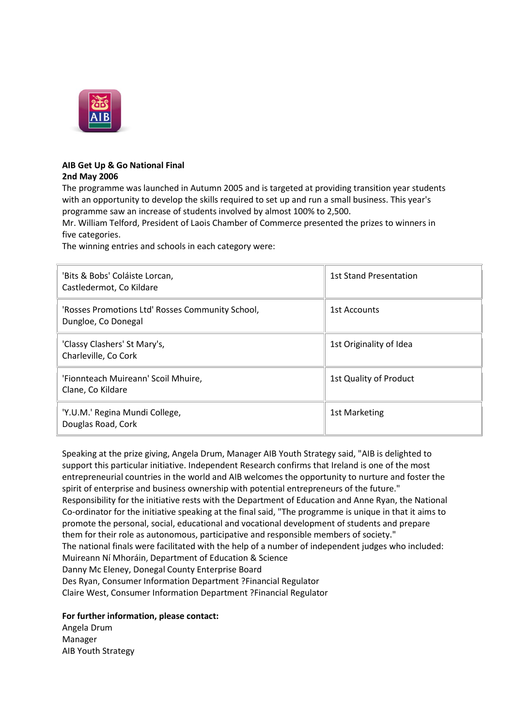

## **AIB Get Up & Go National Final 2nd May 2006**

The programme was launched in Autumn 2005 and is targeted at providing transition year students with an opportunity to develop the skills required to set up and run a small business. This year's programme saw an increase of students involved by almost 100% to 2,500.

Mr. William Telford, President of Laois Chamber of Commerce presented the prizes to winners in five categories.

The winning entries and schools in each category were:

| 'Bits & Bobs' Coláiste Lorcan,<br>Castledermot, Co Kildare              | <b>1st Stand Presentation</b> |
|-------------------------------------------------------------------------|-------------------------------|
| 'Rosses Promotions Ltd' Rosses Community School,<br>Dungloe, Co Donegal | 1st Accounts                  |
| 'Classy Clashers' St Mary's,<br>Charleville, Co Cork                    | 1st Originality of Idea       |
| 'Fionnteach Muireann' Scoil Mhuire,<br>Clane, Co Kildare                | 1st Quality of Product        |
| 'Y.U.M.' Regina Mundi College,<br>Douglas Road, Cork                    | 1st Marketing                 |

Speaking at the prize giving, Angela Drum, Manager AIB Youth Strategy said, "AIB is delighted to support this particular initiative. Independent Research confirms that Ireland is one of the most entrepreneurial countries in the world and AIB welcomes the opportunity to nurture and foster the spirit of enterprise and business ownership with potential entrepreneurs of the future." Responsibility for the initiative rests with the Department of Education and Anne Ryan, the National Co-ordinator for the initiative speaking at the final said, "The programme is unique in that it aims to promote the personal, social, educational and vocational development of students and prepare them for their role as autonomous, participative and responsible members of society." The national finals were facilitated with the help of a number of independent judges who included: Muireann Ní Mhoráin, Department of Education & Science Danny Mc Eleney, Donegal County Enterprise Board Des Ryan, Consumer Information Department ?Financial Regulator Claire West, Consumer Information Department ?Financial Regulator

**For further information, please contact:**

Angela Drum Manager AIB Youth Strategy